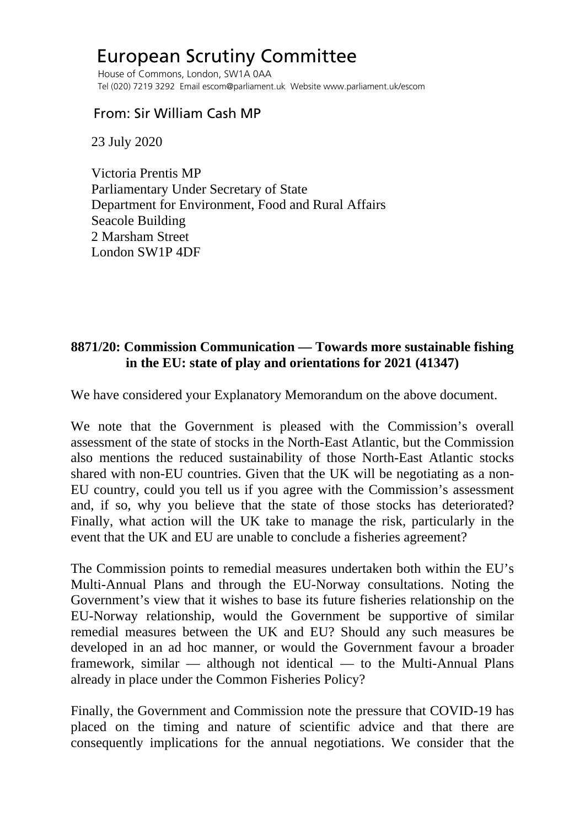## European Scrutiny Committee

 House of Commons, London, SW1A 0AA Tel (020) 7219 3292 Email escom@parliament.uk Website www.parliament.uk/escom

## From: Sir William Cash MP

23 July 2020

 Victoria Prentis MP Parliamentary Under Secretary of State Department for Environment, Food and Rural Affairs Seacole Building 2 Marsham Street London SW1P 4DF

## **8871/20: Commission Communication — Towards more sustainable fishing in the EU: state of play and orientations for 2021 (41347)**

We have considered your Explanatory Memorandum on the above document.

We note that the Government is pleased with the Commission's overall assessment of the state of stocks in the North-East Atlantic, but the Commission also mentions the reduced sustainability of those North-East Atlantic stocks shared with non-EU countries. Given that the UK will be negotiating as a non-EU country, could you tell us if you agree with the Commission's assessment and, if so, why you believe that the state of those stocks has deteriorated? Finally, what action will the UK take to manage the risk, particularly in the event that the UK and EU are unable to conclude a fisheries agreement?

The Commission points to remedial measures undertaken both within the EU's Multi-Annual Plans and through the EU-Norway consultations. Noting the Government's view that it wishes to base its future fisheries relationship on the EU-Norway relationship, would the Government be supportive of similar remedial measures between the UK and EU? Should any such measures be developed in an ad hoc manner, or would the Government favour a broader framework, similar — although not identical — to the Multi-Annual Plans already in place under the Common Fisheries Policy?

Finally, the Government and Commission note the pressure that COVID-19 has placed on the timing and nature of scientific advice and that there are consequently implications for the annual negotiations. We consider that the